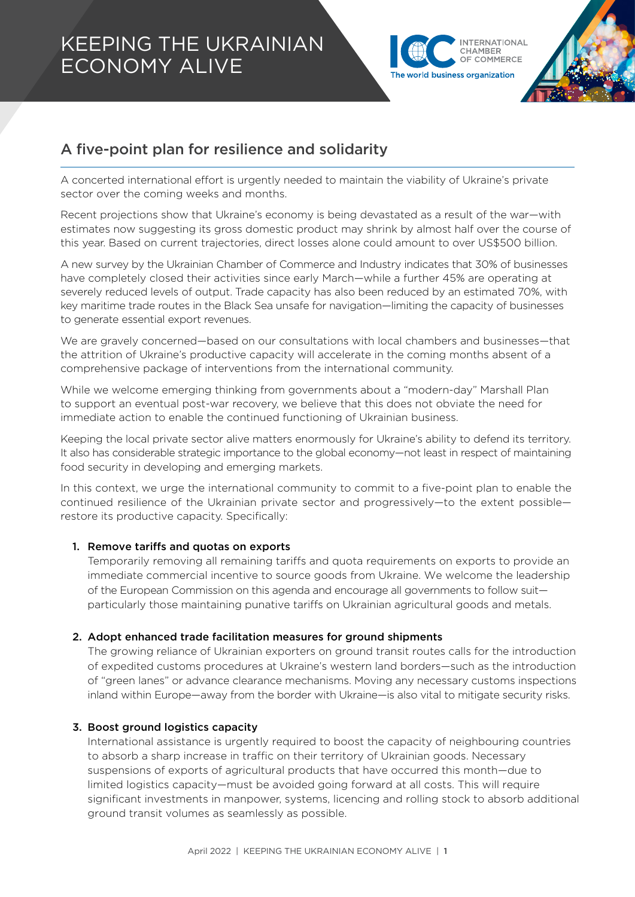# KEEPING THE UKRAINIAN ECONOMY ALIVE



# A five-point plan for resilience and solidarity

A concerted international effort is urgently needed to maintain the viability of Ukraine's private sector over the coming weeks and months.

Recent projections show that Ukraine's economy is being devastated as a result of the war—with estimates now suggesting its gross domestic product may shrink by almost half over the course of this year. Based on current trajectories, direct losses alone could amount to over US\$500 billion.

A new survey by the Ukrainian Chamber of Commerce and Industry indicates that 30% of businesses have completely closed their activities since early March—while a further 45% are operating at severely reduced levels of output. Trade capacity has also been reduced by an estimated 70%, with key maritime trade routes in the Black Sea unsafe for navigation—limiting the capacity of businesses to generate essential export revenues.

We are gravely concerned—based on our consultations with local chambers and businesses—that the attrition of Ukraine's productive capacity will accelerate in the coming months absent of a comprehensive package of interventions from the international community.

While we welcome emerging thinking from governments about a "modern-day" Marshall Plan to support an eventual post-war recovery, we believe that this does not obviate the need for immediate action to enable the continued functioning of Ukrainian business.

Keeping the local private sector alive matters enormously for Ukraine's ability to defend its territory. It also has considerable strategic importance to the global economy—not least in respect of maintaining food security in developing and emerging markets.

In this context, we urge the international community to commit to a five-point plan to enable the continued resilience of the Ukrainian private sector and progressively—to the extent possible restore its productive capacity. Specifically:

## 1. Remove tariffs and quotas on exports

Temporarily removing all remaining tariffs and quota requirements on exports to provide an immediate commercial incentive to source goods from Ukraine. We welcome the leadership of the European Commission on this agenda and encourage all governments to follow suit particularly those maintaining punative tariffs on Ukrainian agricultural goods and metals.

## 2. Adopt enhanced trade facilitation measures for ground shipments

The growing reliance of Ukrainian exporters on ground transit routes calls for the introduction of expedited customs procedures at Ukraine's western land borders—such as the introduction of "green lanes" or advance clearance mechanisms. Moving any necessary customs inspections inland within Europe—away from the border with Ukraine—is also vital to mitigate security risks.

## 3. Boost ground logistics capacity

International assistance is urgently required to boost the capacity of neighbouring countries to absorb a sharp increase in traffic on their territory of Ukrainian goods. Necessary suspensions of exports of agricultural products that have occurred this month—due to limited logistics capacity—must be avoided going forward at all costs. This will require significant investments in manpower, systems, licencing and rolling stock to absorb additional ground transit volumes as seamlessly as possible.